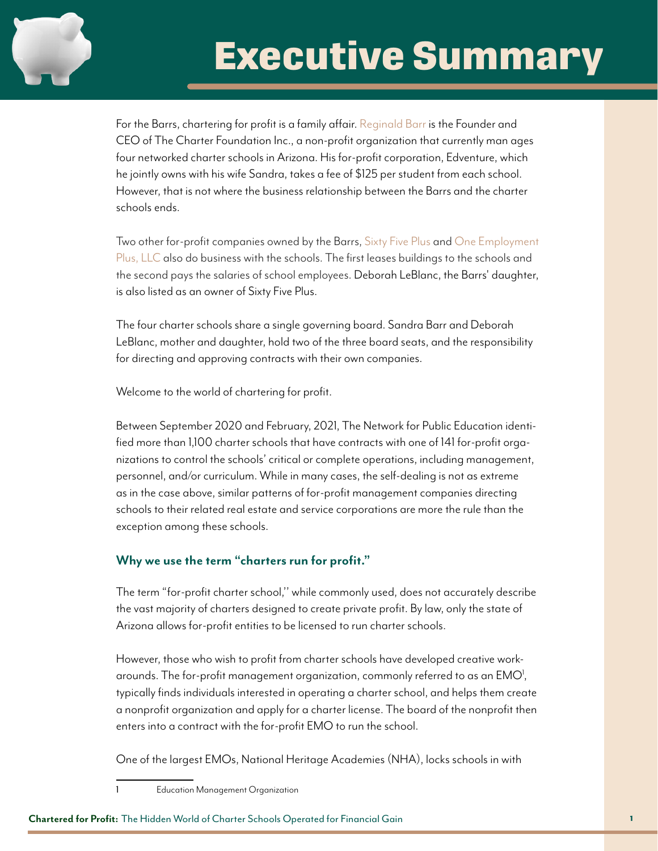

# **Executive Summary**

For the Barrs, chartering for profit is a family affair. [Reginald Barr](https://amerischools.org/wp-content/uploads/2019/11/AmeriSchools-Perspectives-11-19.pdf) is the Founder and CEO of The Charter Foundation Inc., a non-profit organization that currently man ages four networked charter schools in Arizona. His for-profit corporation, Edventure, which he jointly owns with his wife Sandra, takes a fee of \$125 per student from each school. However, that is not where the business relationship between the Barrs and the charter schools ends.

Two other for-profit companies owned by the Barrs, [Sixty Five Plus](https://ecorp.azcc.gov/PublicBusinessSearch/PublicBusinessInfo?entityNumber=L08706589) and [One Employment](https://ecorp.azcc.gov/PublicBusinessSearch/PublicBusinessInfo?entityNumber=L08787150)  [Plus, LLC](https://ecorp.azcc.gov/PublicBusinessSearch/PublicBusinessInfo?entityNumber=L08787150) also do business with the schools. The first leases buildings to the schools and the second pays the salaries of school employees. Deborah LeBlanc, the Barrs' daughter, is also listed as an owner of Sixty Five Plus.

The four charter schools share a single governing board. Sandra Barr and Deborah LeBlanc, mother and daughter, hold two of the three board seats, and the responsibility for directing and approving contracts with their own companies.

Welcome to the world of chartering for profit.

Between September 2020 and February, 2021, The Network for Public Education identified more than 1,100 charter schools that have contracts with one of 141 for-profit organizations to control the schools' critical or complete operations, including management, personnel, and/or curriculum. While in many cases, the self-dealing is not as extreme as in the case above, similar patterns of for-profit management companies directing schools to their related real estate and service corporations are more the rule than the exception among these schools.

## **Why we use the term "charters run for profit."**

The term "for-profit charter school,'' while commonly used, does not accurately describe the vast majority of charters designed to create private profit. By law, only the state of Arizona allows for-profit entities to be licensed to run charter schools.

However, those who wish to profit from charter schools have developed creative workarounds. The for-profit management organization, commonly referred to as an  $\mathsf{EMO}^!$ , typically finds individuals interested in operating a charter school, and helps them create a nonprofit organization and apply for a charter license. The board of the nonprofit then enters into a contract with the for-profit EMO to run the school.

One of the largest EMOs, National Heritage Academies (NHA), locks schools in with

1 Education Management Organization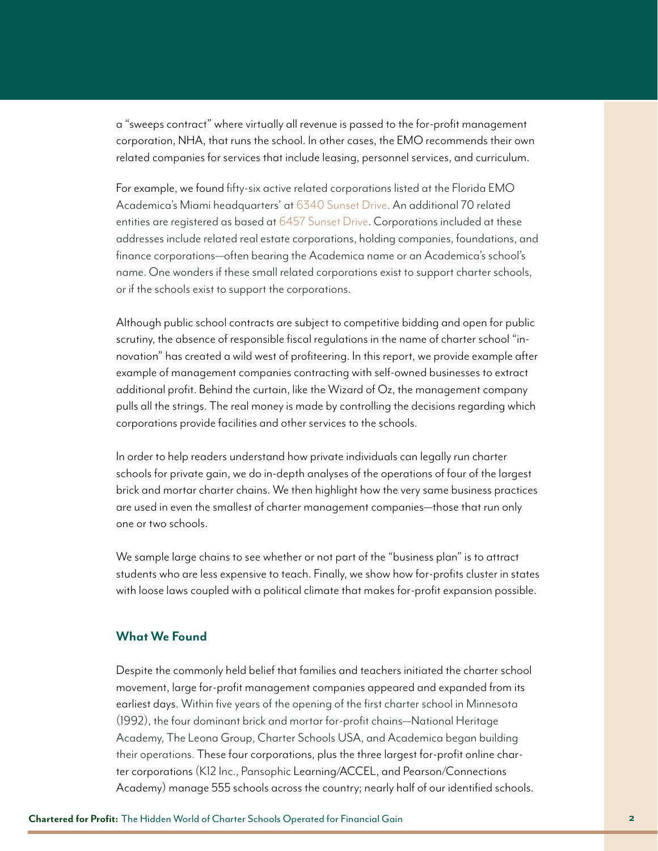a "sweeps contract" where virtually all revenue is passed to the for-profit management corporation, NHA, that runs the school. In other cases, the EMO recommends their own related companies for services that include leasing, personnel services, and curriculum.

For example, we found fifty-six active related corporations listed at the Florida EMO Academica's Miami headquarters' at [6340 Sunset Drive](http://search.sunbiz.org/Inquiry/CorporationSearch/SearchResults?inquiryType=Address&searchTerm=6340%20Sunset%20Dr). An additional 70 related entities are registered as based at [6457 Sunset Drive.](http://search.sunbiz.org/Inquiry/CorporationSearch/SearchResults?InquiryType=Address&inquiryDirectionType=PreviousList&searchNameOrder=BUDASCHOOLDEVELOPMENT%20L200003878630&SearchTerm=6457%20Sunset%20Drive&entityId=L20000387863&listNameOrder=BUDASCHOOLDEVELOPMENT%20L200003878630) Corporations included at these addresses include related real estate corporations, holding companies, foundations, and finance corporations—often bearing the Academica name or an Academica's school's name. One wonders if these small related corporations exist to support charter schools, or if the schools exist to support the corporations.

Although public school contracts are subject to competitive bidding and open for public scrutiny, the absence of responsible fiscal regulations in the name of charter school "innovation" has created a wild west of profiteering. In this report, we provide example after example of management companies contracting with self-owned businesses to extract additional profit. Behind the curtain, like the Wizard of Oz, the management company pulls all the strings. The real money is made by controlling the decisions regarding which corporations provide facilities and other services to the schools.

In order to help readers understand how private individuals can legally run charter schools for private gain, we do in-depth analyses of the operations of four of the largest brick and mortar charter chains. We then highlight how the very same business practices are used in even the smallest of charter management companies—those that run only one or two schools.

We sample large chains to see whether or not part of the "business plan" is to attract students who are less expensive to teach. Finally, we show how for-profits cluster in states with loose laws coupled with a political climate that makes for-profit expansion possible.

#### **What We Found**

Despite the commonly held belief that families and teachers initiated the charter school movement, large for-profit management companies appeared and expanded from its earliest days. Within five years of the opening of the first charter school in Minnesota (1992), the four dominant brick and mortar for-profit chains—National Heritage Academy, The Leona Group, Charter Schools USA, and Academica began building their operations. These four corporations, plus the three largest for-profit online charter corporations (K12 Inc., Pansophic Learning/ACCEL, and Pearson/Connections Academy) manage 555 schools across the country; nearly half of our identified schools.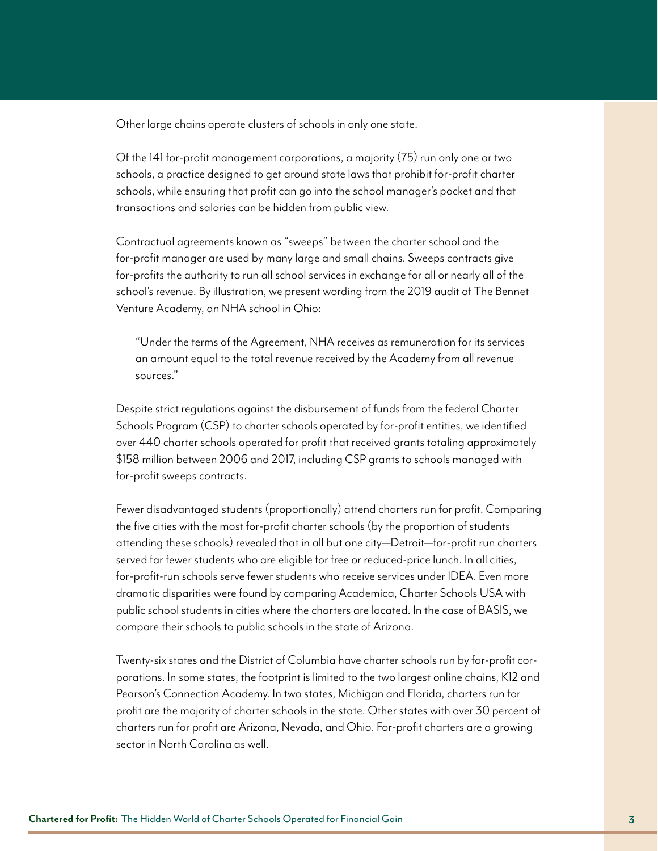Other large chains operate clusters of schools in only one state.

Of the 141 for-profit management corporations, a majority (75) run only one or two schools, a practice designed to get around state laws that prohibit for-profit charter schools, while ensuring that profit can go into the school manager's pocket and that transactions and salaries can be hidden from public view.

Contractual agreements known as "sweeps" between the charter school and the for-profit manager are used by many large and small chains. Sweeps contracts give for-profits the authority to run all school services in exchange for all or nearly all of the school's revenue. By illustration, we present wording from [the 2019 audit](file:///C:\Users\Lding\AppData\Local\Microsoft\Windows\INetCache\Content.Outlook\VBFZ5HIA\•%09schoolhttps:\ohioauditor.gov\auditsearch\Reports\2019\Bennett_Venture_Academy_18-Lucas.pdf) of The Bennet Venture Academy, an NHA school in Ohio:

"Under the terms of the Agreement, NHA receives as remuneration for its services an amount equal to the total revenue received by the Academy from all revenue sources."

Despite strict regulations against the disbursement of funds from the federal Charter Schools Program (CSP) to charter schools operated by for-profit entities, we identified over 440 charter schools operated for profit that received grants totaling approximately \$158 million between 2006 and 2017, including CSP grants to schools managed with for-profit sweeps contracts.

Fewer disadvantaged students (proportionally) attend charters run for profit. Comparing the five cities with the most for-profit charter schools (by the proportion of students attending these schools) revealed that in all but one city—Detroit—for-profit run charters served far fewer students who are eligible for free or reduced-price lunch. In all cities, for-profit-run schools serve fewer students who receive services under IDEA. Even more dramatic disparities were found by comparing Academica, Charter Schools USA with public school students in cities where the charters are located. In the case of BASIS, we compare their schools to public schools in the state of Arizona.

Twenty-six states and the District of Columbia have charter schools run by for-profit corporations. In some states, the footprint is limited to the two largest online chains, K12 and Pearson's Connection Academy. In two states, Michigan and Florida, charters run for profit are the majority of charter schools in the state. Other states with over 30 percent of charters run for profit are Arizona, Nevada, and Ohio. For-profit charters are a growing sector in North Carolina as well.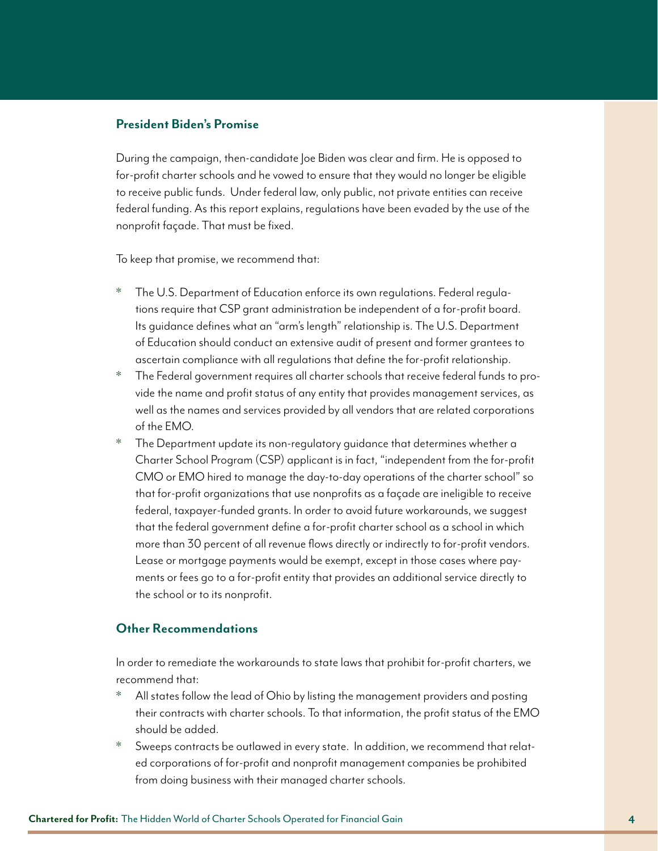## **President Biden's Promise**

During the campaign, then-candidate Joe Biden was clear and firm. He is opposed to for-profit charter schools and he vowed to ensure that they would no longer be eligible to receive public funds. Under federal law, only public, not private entities can receive federal funding. As this report explains, regulations have been evaded by the use of the nonprofit façade. That must be fixed.

To keep that promise, we recommend that:

- The U.S. Department of Education enforce its own regulations. Federal regulations require that CSP grant administration be independent of a for-profit board. Its guidance defines what an "arm's length" relationship is. The U.S. Department of Education should conduct an extensive audit of present and former grantees to ascertain compliance with all regulations that define the for-profit relationship.
- \* The Federal government requires all charter schools that receive federal funds to provide the name and profit status of any entity that provides management services, as well as the names and services provided by all vendors that are related corporations of the EMO.
- \* The Department update its non-regulatory guidance that determines whether a Charter School Program (CSP) applicant is in fact, "independent from the for-profit CMO or EMO hired to manage the day-to-day operations of the charter school" so that for-profit organizations that use nonprofits as a façade are ineligible to receive federal, taxpayer-funded grants. In order to avoid future workarounds, we suggest that the federal government define a for-profit charter school as a school in which more than 30 percent of all revenue flows directly or indirectly to for-profit vendors. Lease or mortgage payments would be exempt, except in those cases where payments or fees go to a for-profit entity that provides an additional service directly to the school or to its nonprofit.

### **Other Recommendations**

In order to remediate the workarounds to state laws that prohibit for-profit charters, we recommend that:

- \* All states follow the lead of Ohio by listing the management providers and posting their contracts with charter schools. To that information, the profit status of the EMO should be added.
- \* Sweeps contracts be outlawed in every state. In addition, we recommend that related corporations of for-profit and nonprofit management companies be prohibited from doing business with their managed charter schools.